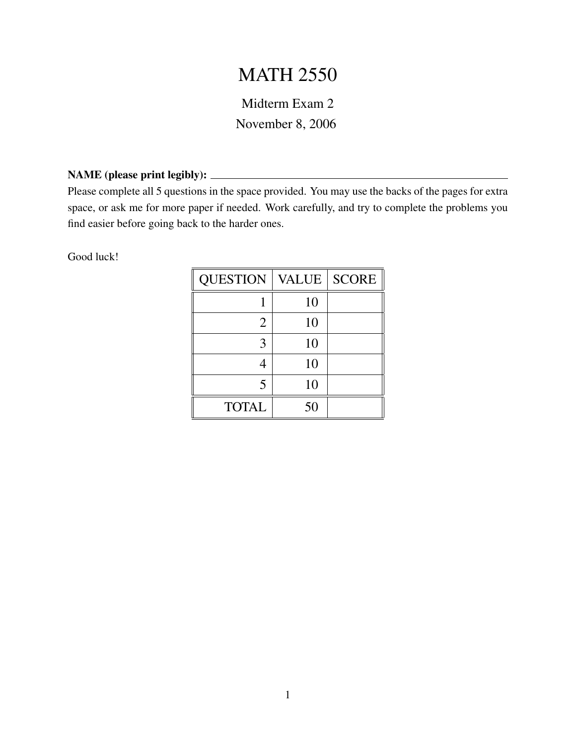## MATH 2550

Midterm Exam 2 November 8, 2006

## NAME (please print legibly):

Please complete all 5 questions in the space provided. You may use the backs of the pages for extra space, or ask me for more paper if needed. Work carefully, and try to complete the problems you find easier before going back to the harder ones.

Good luck!

| <b>QUESTION</b> | <b>VALUE</b> | <b>SCORE</b> |
|-----------------|--------------|--------------|
|                 | 10           |              |
| 2               | 10           |              |
| 3               | 10           |              |
|                 | 10           |              |
| 5               | 10           |              |
| <b>TOTAL</b>    | 50           |              |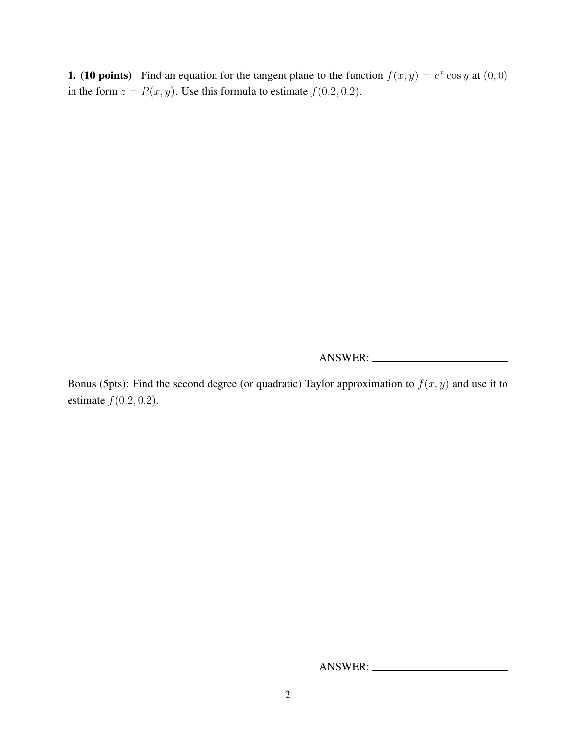**1.** (10 points) Find an equation for the tangent plane to the function  $f(x, y) = e^x \cos y$  at  $(0, 0)$ in the form  $z = P(x, y)$ . Use this formula to estimate  $f(0.2, 0.2)$ .

ANSWER:

Bonus (5pts): Find the second degree (or quadratic) Taylor approximation to  $f(x, y)$  and use it to estimate  $f(0.2, 0.2)$ .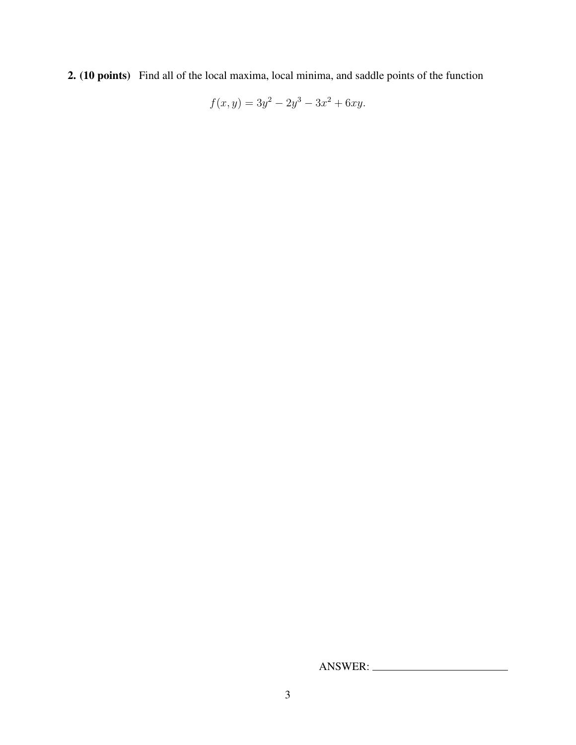2. (10 points) Find all of the local maxima, local minima, and saddle points of the function

$$
f(x, y) = 3y^2 - 2y^3 - 3x^2 + 6xy.
$$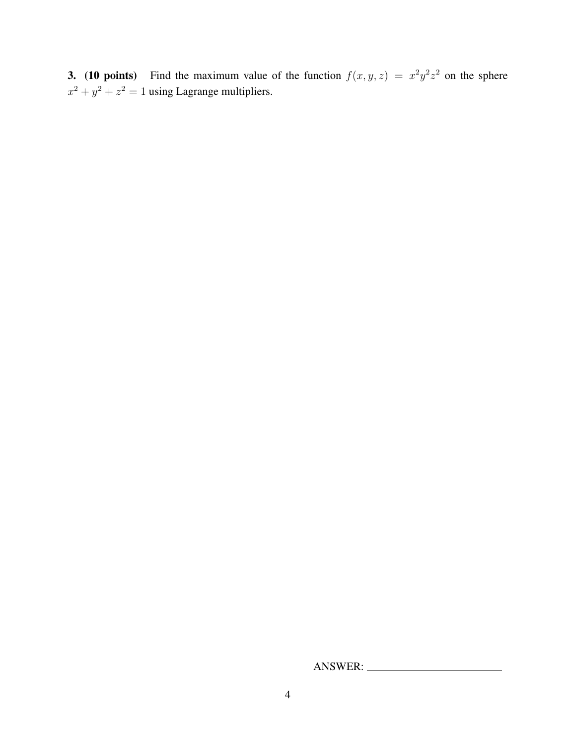**3.** (10 points) Find the maximum value of the function  $f(x, y, z) = x^2y^2z^2$  on the sphere  $x^2 + y^2 + z^2 = 1$  using Lagrange multipliers.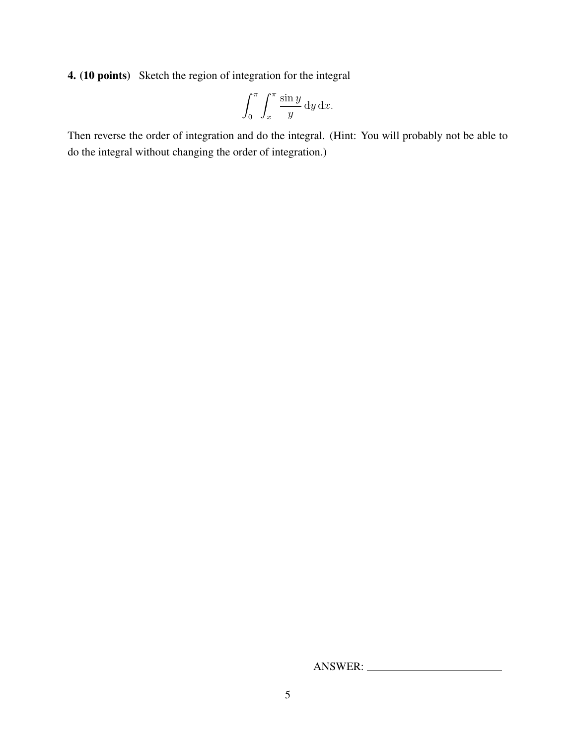4. (10 points) Sketch the region of integration for the integral

$$
\int_0^\pi \int_x^\pi \frac{\sin y}{y} \, \mathrm{d}y \, \mathrm{d}x.
$$

Then reverse the order of integration and do the integral. (Hint: You will probably not be able to do the integral without changing the order of integration.)